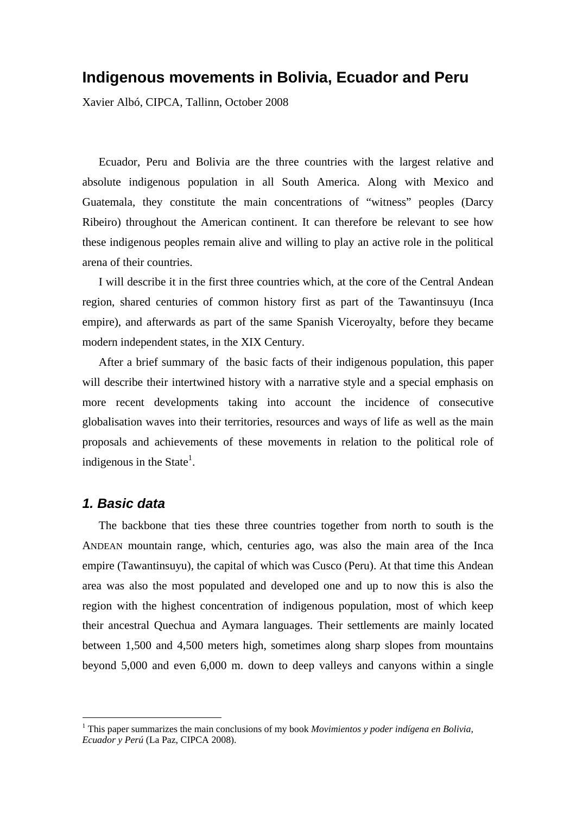# **Indigenous movements in Bolivia, Ecuador and Peru**

Xavier Albó, CIPCA, Tallinn, October 2008

Ecuador, Peru and Bolivia are the three countries with the largest relative and absolute indigenous population in all South America. Along with Mexico and Guatemala, they constitute the main concentrations of "witness" peoples (Darcy Ribeiro) throughout the American continent. It can therefore be relevant to see how these indigenous peoples remain alive and willing to play an active role in the political arena of their countries.

I will describe it in the first three countries which, at the core of the Central Andean region, shared centuries of common history first as part of the Tawantinsuyu (Inca empire), and afterwards as part of the same Spanish Viceroyalty, before they became modern independent states, in the XIX Century.

After a brief summary of the basic facts of their indigenous population, this paper will describe their intertwined history with a narrative style and a special emphasis on more recent developments taking into account the incidence of consecutive globalisation waves into their territories, resources and ways of life as well as the main proposals and achievements of these movements in relation to the political role of indigenous in the State $<sup>1</sup>$ .</sup>

# *1. Basic data*

1

The backbone that ties these three countries together from north to south is the ANDEAN mountain range, which, centuries ago, was also the main area of the Inca empire (Tawantinsuyu), the capital of which was Cusco (Peru). At that time this Andean area was also the most populated and developed one and up to now this is also the region with the highest concentration of indigenous population, most of which keep their ancestral Quechua and Aymara languages. Their settlements are mainly located between 1,500 and 4,500 meters high, sometimes along sharp slopes from mountains beyond 5,000 and even 6,000 m. down to deep valleys and canyons within a single

<sup>&</sup>lt;sup>1</sup> This paper summarizes the main conclusions of my book *Movimientos y poder indígena en Bolivia*, *Ecuador y Perú* (La Paz, CIPCA 2008).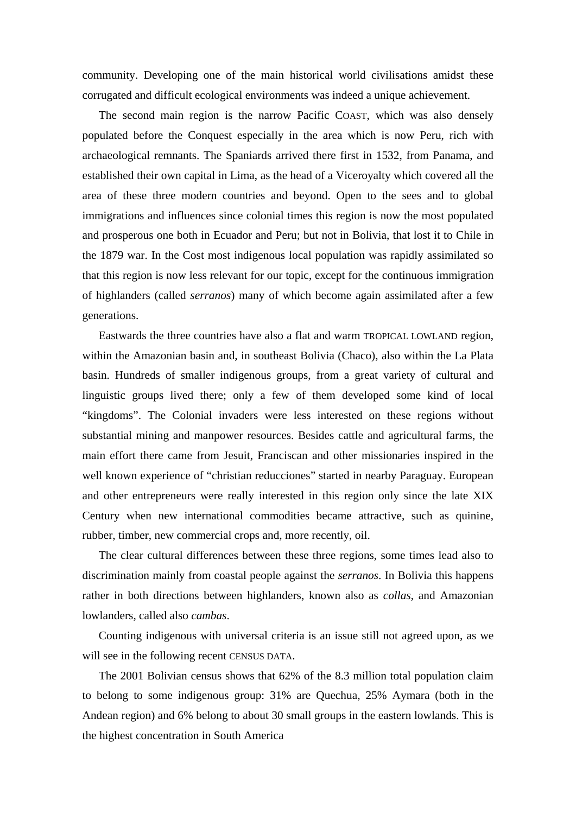community. Developing one of the main historical world civilisations amidst these corrugated and difficult ecological environments was indeed a unique achievement.

The second main region is the narrow Pacific COAST, which was also densely populated before the Conquest especially in the area which is now Peru, rich with archaeological remnants. The Spaniards arrived there first in 1532, from Panama, and established their own capital in Lima, as the head of a Viceroyalty which covered all the area of these three modern countries and beyond. Open to the sees and to global immigrations and influences since colonial times this region is now the most populated and prosperous one both in Ecuador and Peru; but not in Bolivia, that lost it to Chile in the 1879 war. In the Cost most indigenous local population was rapidly assimilated so that this region is now less relevant for our topic, except for the continuous immigration of highlanders (called *serranos*) many of which become again assimilated after a few generations.

Eastwards the three countries have also a flat and warm TROPICAL LOWLAND region, within the Amazonian basin and, in southeast Bolivia (Chaco), also within the La Plata basin. Hundreds of smaller indigenous groups, from a great variety of cultural and linguistic groups lived there; only a few of them developed some kind of local "kingdoms". The Colonial invaders were less interested on these regions without substantial mining and manpower resources. Besides cattle and agricultural farms, the main effort there came from Jesuit, Franciscan and other missionaries inspired in the well known experience of "christian reducciones" started in nearby Paraguay. European and other entrepreneurs were really interested in this region only since the late XIX Century when new international commodities became attractive, such as quinine, rubber, timber, new commercial crops and, more recently, oil.

The clear cultural differences between these three regions, some times lead also to discrimination mainly from coastal people against the *serranos*. In Bolivia this happens rather in both directions between highlanders, known also as *collas*, and Amazonian lowlanders, called also *cambas*.

Counting indigenous with universal criteria is an issue still not agreed upon, as we will see in the following recent CENSUS DATA.

The 2001 Bolivian census shows that 62% of the 8.3 million total population claim to belong to some indigenous group: 31% are Quechua, 25% Aymara (both in the Andean region) and 6% belong to about 30 small groups in the eastern lowlands. This is the highest concentration in South America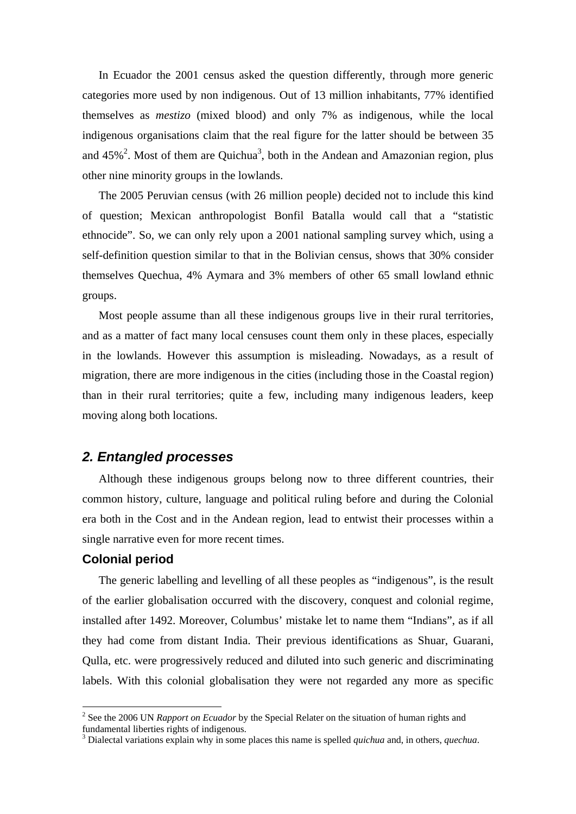In Ecuador the 2001 census asked the question differently, through more generic categories more used by non indigenous. Out of 13 million inhabitants, 77% identified themselves as *mestizo* (mixed blood) and only 7% as indigenous, while the local indigenous organisations claim that the real figure for the latter should be between 35 and  $45\%$ <sup>2</sup>. Most of them are Quichua<sup>3</sup>, both in the Andean and Amazonian region, plus other nine minority groups in the lowlands.

The 2005 Peruvian census (with 26 million people) decided not to include this kind of question; Mexican anthropologist Bonfil Batalla would call that a "statistic ethnocide". So, we can only rely upon a 2001 national sampling survey which, using a self-definition question similar to that in the Bolivian census, shows that 30% consider themselves Quechua, 4% Aymara and 3% members of other 65 small lowland ethnic groups.

Most people assume than all these indigenous groups live in their rural territories, and as a matter of fact many local censuses count them only in these places, especially in the lowlands. However this assumption is misleading. Nowadays, as a result of migration, there are more indigenous in the cities (including those in the Coastal region) than in their rural territories; quite a few, including many indigenous leaders, keep moving along both locations.

## *2. Entangled processes*

Although these indigenous groups belong now to three different countries, their common history, culture, language and political ruling before and during the Colonial era both in the Cost and in the Andean region, lead to entwist their processes within a single narrative even for more recent times.

## **Colonial period**

1

The generic labelling and levelling of all these peoples as "indigenous", is the result of the earlier globalisation occurred with the discovery, conquest and colonial regime, installed after 1492. Moreover, Columbus' mistake let to name them "Indians", as if all they had come from distant India. Their previous identifications as Shuar, Guarani, Qulla, etc. were progressively reduced and diluted into such generic and discriminating labels. With this colonial globalisation they were not regarded any more as specific

<sup>&</sup>lt;sup>2</sup> See the 2006 UN *Rapport on Ecuador* by the Special Relater on the situation of human rights and fundamental liberties rights of indigenous.

<sup>3</sup> Dialectal variations explain why in some places this name is spelled *quichua* and, in others, *quechua*.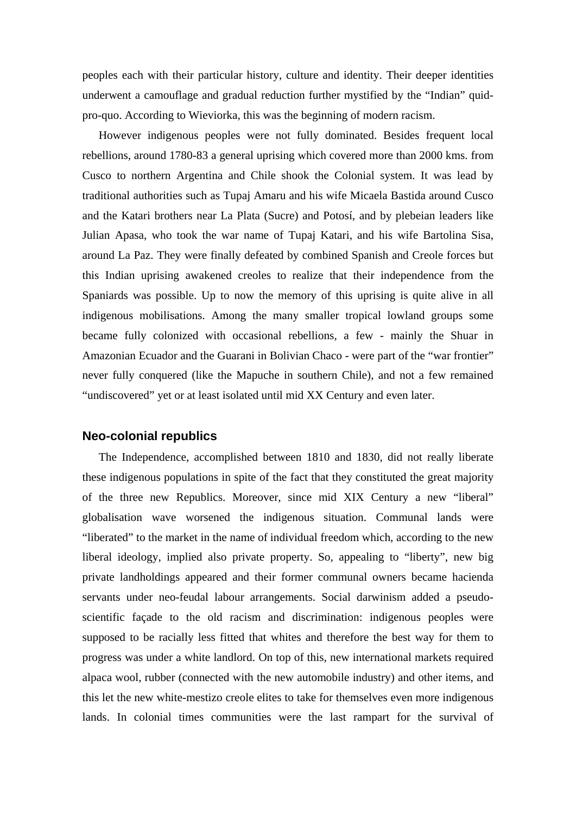peoples each with their particular history, culture and identity. Their deeper identities underwent a camouflage and gradual reduction further mystified by the "Indian" quidpro-quo. According to Wieviorka, this was the beginning of modern racism.

However indigenous peoples were not fully dominated. Besides frequent local rebellions, around 1780-83 a general uprising which covered more than 2000 kms. from Cusco to northern Argentina and Chile shook the Colonial system. It was lead by traditional authorities such as Tupaj Amaru and his wife Micaela Bastida around Cusco and the Katari brothers near La Plata (Sucre) and Potosí, and by plebeian leaders like Julian Apasa, who took the war name of Tupaj Katari, and his wife Bartolina Sisa, around La Paz. They were finally defeated by combined Spanish and Creole forces but this Indian uprising awakened creoles to realize that their independence from the Spaniards was possible. Up to now the memory of this uprising is quite alive in all indigenous mobilisations. Among the many smaller tropical lowland groups some became fully colonized with occasional rebellions, a few - mainly the Shuar in Amazonian Ecuador and the Guarani in Bolivian Chaco - were part of the "war frontier" never fully conquered (like the Mapuche in southern Chile), and not a few remained "undiscovered" yet or at least isolated until mid XX Century and even later.

#### **Neo-colonial republics**

The Independence, accomplished between 1810 and 1830, did not really liberate these indigenous populations in spite of the fact that they constituted the great majority of the three new Republics. Moreover, since mid XIX Century a new "liberal" globalisation wave worsened the indigenous situation. Communal lands were "liberated" to the market in the name of individual freedom which, according to the new liberal ideology, implied also private property. So, appealing to "liberty", new big private landholdings appeared and their former communal owners became hacienda servants under neo-feudal labour arrangements. Social darwinism added a pseudoscientific façade to the old racism and discrimination: indigenous peoples were supposed to be racially less fitted that whites and therefore the best way for them to progress was under a white landlord. On top of this, new international markets required alpaca wool, rubber (connected with the new automobile industry) and other items, and this let the new white-mestizo creole elites to take for themselves even more indigenous lands. In colonial times communities were the last rampart for the survival of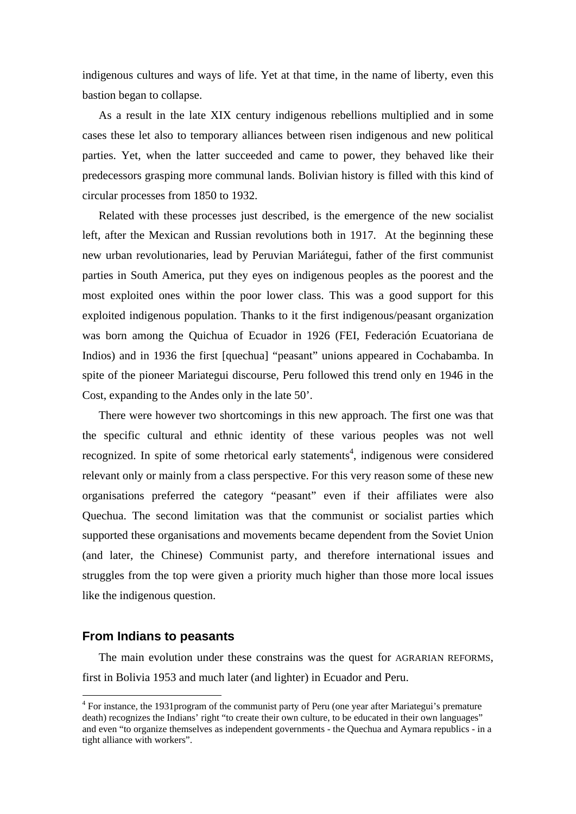indigenous cultures and ways of life. Yet at that time, in the name of liberty, even this bastion began to collapse.

As a result in the late XIX century indigenous rebellions multiplied and in some cases these let also to temporary alliances between risen indigenous and new political parties. Yet, when the latter succeeded and came to power, they behaved like their predecessors grasping more communal lands. Bolivian history is filled with this kind of circular processes from 1850 to 1932.

Related with these processes just described, is the emergence of the new socialist left, after the Mexican and Russian revolutions both in 1917. At the beginning these new urban revolutionaries, lead by Peruvian Mariátegui, father of the first communist parties in South America, put they eyes on indigenous peoples as the poorest and the most exploited ones within the poor lower class. This was a good support for this exploited indigenous population. Thanks to it the first indigenous/peasant organization was born among the Quichua of Ecuador in 1926 (FEI, Federación Ecuatoriana de Indios) and in 1936 the first [quechua] "peasant" unions appeared in Cochabamba. In spite of the pioneer Mariategui discourse, Peru followed this trend only en 1946 in the Cost, expanding to the Andes only in the late 50'.

There were however two shortcomings in this new approach. The first one was that the specific cultural and ethnic identity of these various peoples was not well recognized. In spite of some rhetorical early statements<sup>4</sup>, indigenous were considered relevant only or mainly from a class perspective. For this very reason some of these new organisations preferred the category "peasant" even if their affiliates were also Quechua. The second limitation was that the communist or socialist parties which supported these organisations and movements became dependent from the Soviet Union (and later, the Chinese) Communist party, and therefore international issues and struggles from the top were given a priority much higher than those more local issues like the indigenous question.

## **From Indians to peasants**

1

The main evolution under these constrains was the quest for AGRARIAN REFORMS, first in Bolivia 1953 and much later (and lighter) in Ecuador and Peru.

<sup>&</sup>lt;sup>4</sup> For instance, the 1931 program of the communist party of Peru (one year after Mariategui's premature death) recognizes the Indians' right "to create their own culture, to be educated in their own languages" and even "to organize themselves as independent governments - the Quechua and Aymara republics - in a tight alliance with workers".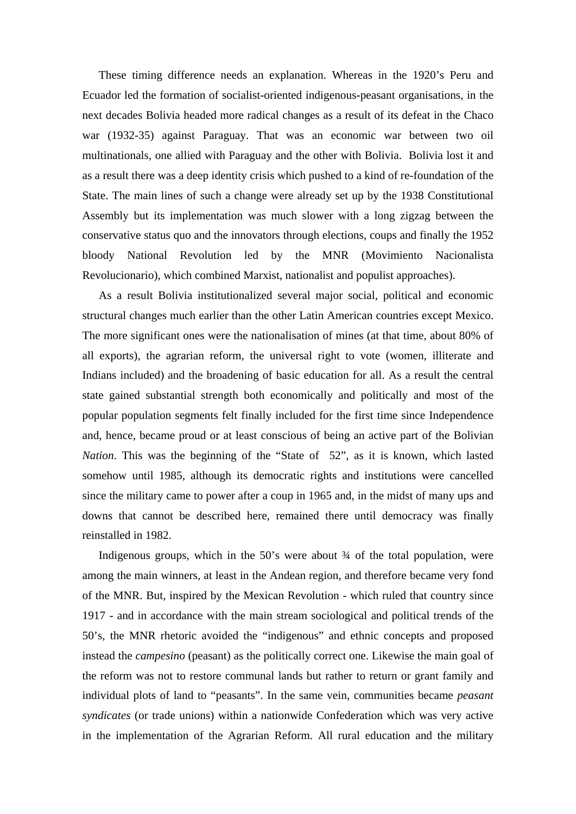These timing difference needs an explanation. Whereas in the 1920's Peru and Ecuador led the formation of socialist-oriented indigenous-peasant organisations, in the next decades Bolivia headed more radical changes as a result of its defeat in the Chaco war (1932-35) against Paraguay. That was an economic war between two oil multinationals, one allied with Paraguay and the other with Bolivia. Bolivia lost it and as a result there was a deep identity crisis which pushed to a kind of re-foundation of the State. The main lines of such a change were already set up by the 1938 Constitutional Assembly but its implementation was much slower with a long zigzag between the conservative status quo and the innovators through elections, coups and finally the 1952 bloody National Revolution led by the MNR (Movimiento Nacionalista Revolucionario), which combined Marxist, nationalist and populist approaches).

As a result Bolivia institutionalized several major social, political and economic structural changes much earlier than the other Latin American countries except Mexico. The more significant ones were the nationalisation of mines (at that time, about 80% of all exports), the agrarian reform, the universal right to vote (women, illiterate and Indians included) and the broadening of basic education for all. As a result the central state gained substantial strength both economically and politically and most of the popular population segments felt finally included for the first time since Independence and, hence, became proud or at least conscious of being an active part of the Bolivian *Nation*. This was the beginning of the "State of 52", as it is known, which lasted somehow until 1985, although its democratic rights and institutions were cancelled since the military came to power after a coup in 1965 and, in the midst of many ups and downs that cannot be described here, remained there until democracy was finally reinstalled in 1982.

Indigenous groups, which in the  $50$ 's were about  $\frac{3}{4}$  of the total population, were among the main winners, at least in the Andean region, and therefore became very fond of the MNR. But, inspired by the Mexican Revolution - which ruled that country since 1917 - and in accordance with the main stream sociological and political trends of the 50's, the MNR rhetoric avoided the "indigenous" and ethnic concepts and proposed instead the *campesino* (peasant) as the politically correct one. Likewise the main goal of the reform was not to restore communal lands but rather to return or grant family and individual plots of land to "peasants". In the same vein, communities became *peasant syndicates* (or trade unions) within a nationwide Confederation which was very active in the implementation of the Agrarian Reform. All rural education and the military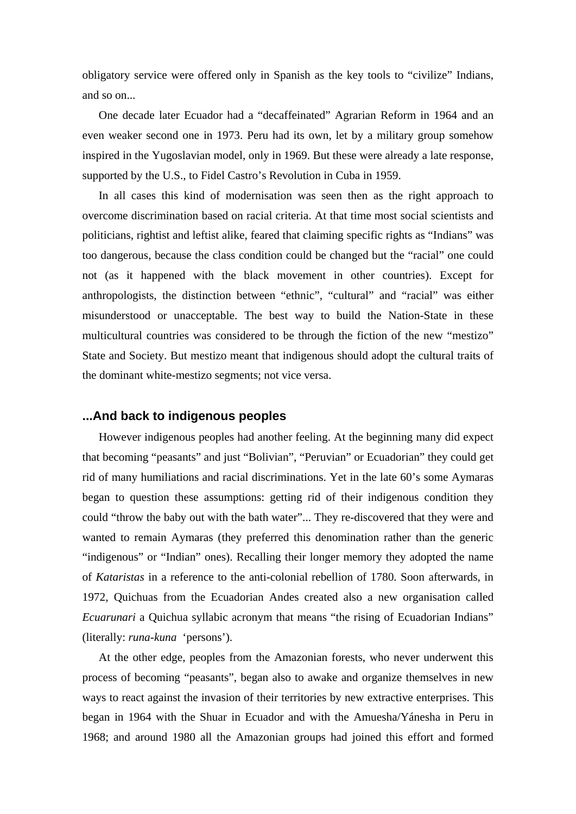obligatory service were offered only in Spanish as the key tools to "civilize" Indians, and so on...

One decade later Ecuador had a "decaffeinated" Agrarian Reform in 1964 and an even weaker second one in 1973. Peru had its own, let by a military group somehow inspired in the Yugoslavian model, only in 1969. But these were already a late response, supported by the U.S., to Fidel Castro's Revolution in Cuba in 1959.

In all cases this kind of modernisation was seen then as the right approach to overcome discrimination based on racial criteria. At that time most social scientists and politicians, rightist and leftist alike, feared that claiming specific rights as "Indians" was too dangerous, because the class condition could be changed but the "racial" one could not (as it happened with the black movement in other countries). Except for anthropologists, the distinction between "ethnic", "cultural" and "racial" was either misunderstood or unacceptable. The best way to build the Nation-State in these multicultural countries was considered to be through the fiction of the new "mestizo" State and Society. But mestizo meant that indigenous should adopt the cultural traits of the dominant white-mestizo segments; not vice versa.

#### **...And back to indigenous peoples**

However indigenous peoples had another feeling. At the beginning many did expect that becoming "peasants" and just "Bolivian", "Peruvian" or Ecuadorian" they could get rid of many humiliations and racial discriminations. Yet in the late 60's some Aymaras began to question these assumptions: getting rid of their indigenous condition they could "throw the baby out with the bath water"... They re-discovered that they were and wanted to remain Aymaras (they preferred this denomination rather than the generic "indigenous" or "Indian" ones). Recalling their longer memory they adopted the name of *Kataristas* in a reference to the anti-colonial rebellion of 1780. Soon afterwards, in 1972, Quichuas from the Ecuadorian Andes created also a new organisation called *Ecuarunari* a Quichua syllabic acronym that means "the rising of Ecuadorian Indians" (literally: *runa-kuna* 'persons').

At the other edge, peoples from the Amazonian forests, who never underwent this process of becoming "peasants", began also to awake and organize themselves in new ways to react against the invasion of their territories by new extractive enterprises. This began in 1964 with the Shuar in Ecuador and with the Amuesha/Yánesha in Peru in 1968; and around 1980 all the Amazonian groups had joined this effort and formed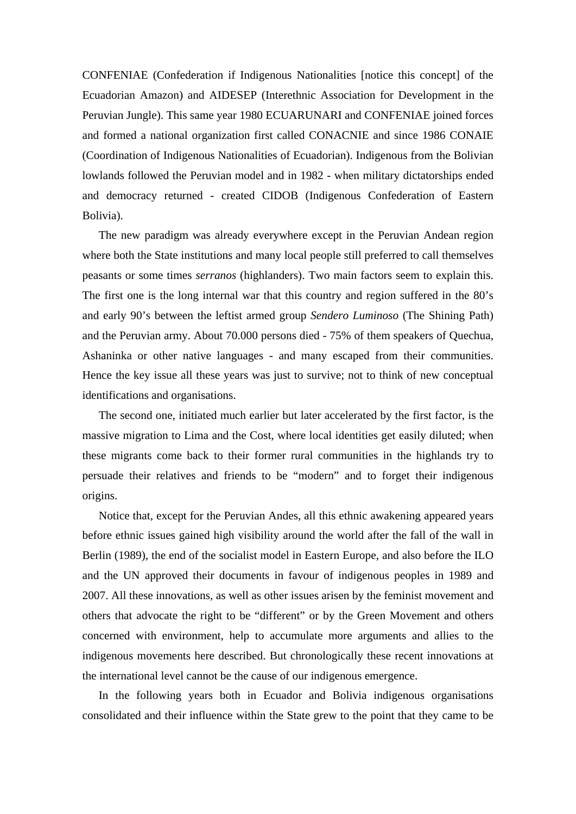CONFENIAE (Confederation if Indigenous Nationalities [notice this concept] of the Ecuadorian Amazon) and AIDESEP (Interethnic Association for Development in the Peruvian Jungle). This same year 1980 ECUARUNARI and CONFENIAE joined forces and formed a national organization first called CONACNIE and since 1986 CONAIE (Coordination of Indigenous Nationalities of Ecuadorian). Indigenous from the Bolivian lowlands followed the Peruvian model and in 1982 - when military dictatorships ended and democracy returned - created CIDOB (Indigenous Confederation of Eastern Bolivia).

The new paradigm was already everywhere except in the Peruvian Andean region where both the State institutions and many local people still preferred to call themselves peasants or some times *serranos* (highlanders). Two main factors seem to explain this. The first one is the long internal war that this country and region suffered in the 80's and early 90's between the leftist armed group *Sendero Luminoso* (The Shining Path) and the Peruvian army. About 70.000 persons died - 75% of them speakers of Quechua, Ashaninka or other native languages - and many escaped from their communities. Hence the key issue all these years was just to survive; not to think of new conceptual identifications and organisations.

The second one, initiated much earlier but later accelerated by the first factor, is the massive migration to Lima and the Cost, where local identities get easily diluted; when these migrants come back to their former rural communities in the highlands try to persuade their relatives and friends to be "modern" and to forget their indigenous origins.

Notice that, except for the Peruvian Andes, all this ethnic awakening appeared years before ethnic issues gained high visibility around the world after the fall of the wall in Berlin (1989), the end of the socialist model in Eastern Europe, and also before the ILO and the UN approved their documents in favour of indigenous peoples in 1989 and 2007. All these innovations, as well as other issues arisen by the feminist movement and others that advocate the right to be "different" or by the Green Movement and others concerned with environment, help to accumulate more arguments and allies to the indigenous movements here described. But chronologically these recent innovations at the international level cannot be the cause of our indigenous emergence.

In the following years both in Ecuador and Bolivia indigenous organisations consolidated and their influence within the State grew to the point that they came to be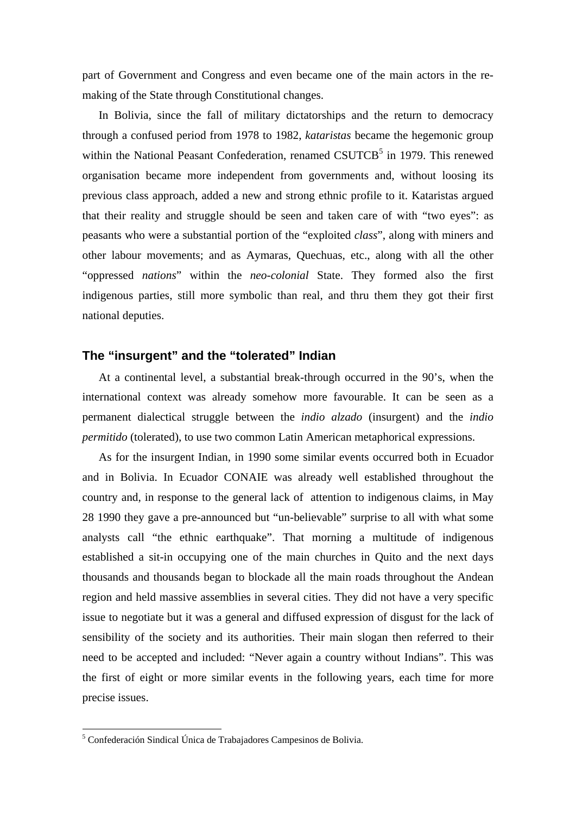part of Government and Congress and even became one of the main actors in the remaking of the State through Constitutional changes.

In Bolivia, since the fall of military dictatorships and the return to democracy through a confused period from 1978 to 1982, *kataristas* became the hegemonic group within the National Peasant Confederation, renamed CSUTCB<sup>5</sup> in 1979. This renewed organisation became more independent from governments and, without loosing its previous class approach, added a new and strong ethnic profile to it. Kataristas argued that their reality and struggle should be seen and taken care of with "two eyes": as peasants who were a substantial portion of the "exploited *class*", along with miners and other labour movements; and as Aymaras, Quechuas, etc., along with all the other "oppressed *nations*" within the *neo-colonial* State. They formed also the first indigenous parties, still more symbolic than real, and thru them they got their first national deputies.

# **The "insurgent" and the "tolerated" Indian**

At a continental level, a substantial break-through occurred in the 90's, when the international context was already somehow more favourable. It can be seen as a permanent dialectical struggle between the *indio alzado* (insurgent) and the *indio permitido* (tolerated), to use two common Latin American metaphorical expressions.

As for the insurgent Indian, in 1990 some similar events occurred both in Ecuador and in Bolivia. In Ecuador CONAIE was already well established throughout the country and, in response to the general lack of attention to indigenous claims, in May 28 1990 they gave a pre-announced but "un-believable" surprise to all with what some analysts call "the ethnic earthquake". That morning a multitude of indigenous established a sit-in occupying one of the main churches in Quito and the next days thousands and thousands began to blockade all the main roads throughout the Andean region and held massive assemblies in several cities. They did not have a very specific issue to negotiate but it was a general and diffused expression of disgust for the lack of sensibility of the society and its authorities. Their main slogan then referred to their need to be accepted and included: "Never again a country without Indians". This was the first of eight or more similar events in the following years, each time for more precise issues.

1

<sup>5</sup> Confederación Sindical Única de Trabajadores Campesinos de Bolivia.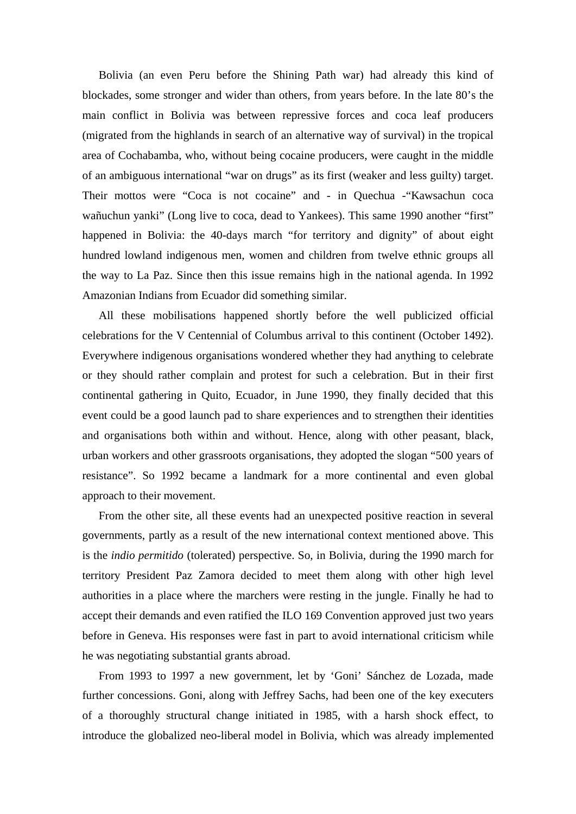Bolivia (an even Peru before the Shining Path war) had already this kind of blockades, some stronger and wider than others, from years before. In the late 80's the main conflict in Bolivia was between repressive forces and coca leaf producers (migrated from the highlands in search of an alternative way of survival) in the tropical area of Cochabamba, who, without being cocaine producers, were caught in the middle of an ambiguous international "war on drugs" as its first (weaker and less guilty) target. Their mottos were "Coca is not cocaine" and - in Quechua -"Kawsachun coca wañuchun yanki" (Long live to coca, dead to Yankees). This same 1990 another "first" happened in Bolivia: the 40-days march "for territory and dignity" of about eight hundred lowland indigenous men, women and children from twelve ethnic groups all the way to La Paz. Since then this issue remains high in the national agenda. In 1992 Amazonian Indians from Ecuador did something similar.

All these mobilisations happened shortly before the well publicized official celebrations for the V Centennial of Columbus arrival to this continent (October 1492). Everywhere indigenous organisations wondered whether they had anything to celebrate or they should rather complain and protest for such a celebration. But in their first continental gathering in Quito, Ecuador, in June 1990, they finally decided that this event could be a good launch pad to share experiences and to strengthen their identities and organisations both within and without. Hence, along with other peasant, black, urban workers and other grassroots organisations, they adopted the slogan "500 years of resistance". So 1992 became a landmark for a more continental and even global approach to their movement.

From the other site, all these events had an unexpected positive reaction in several governments, partly as a result of the new international context mentioned above. This is the *indio permitido* (tolerated) perspective. So, in Bolivia, during the 1990 march for territory President Paz Zamora decided to meet them along with other high level authorities in a place where the marchers were resting in the jungle. Finally he had to accept their demands and even ratified the ILO 169 Convention approved just two years before in Geneva. His responses were fast in part to avoid international criticism while he was negotiating substantial grants abroad.

From 1993 to 1997 a new government, let by 'Goni' Sánchez de Lozada, made further concessions. Goni, along with Jeffrey Sachs, had been one of the key executers of a thoroughly structural change initiated in 1985, with a harsh shock effect, to introduce the globalized neo-liberal model in Bolivia, which was already implemented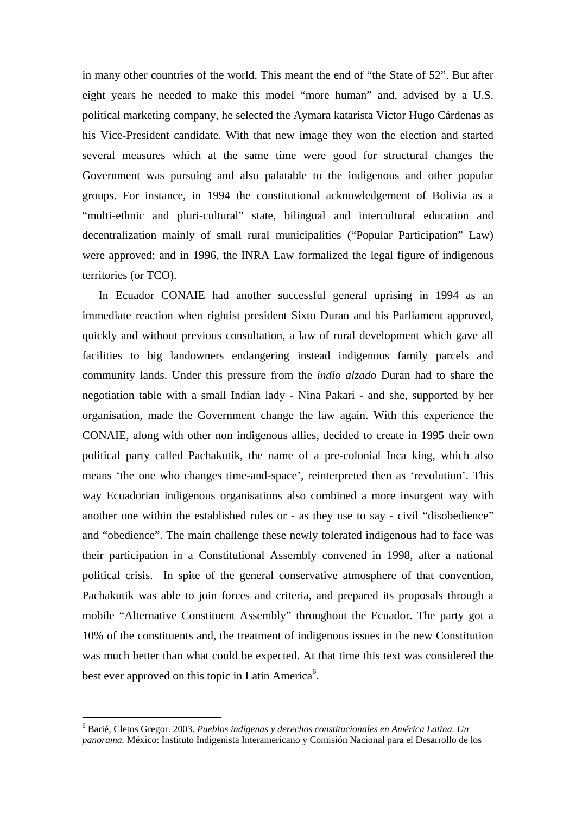in many other countries of the world. This meant the end of "the State of 52". But after eight years he needed to make this model "more human" and, advised by a U.S. political marketing company, he selected the Aymara katarista Victor Hugo Cárdenas as his Vice-President candidate. With that new image they won the election and started several measures which at the same time were good for structural changes the Government was pursuing and also palatable to the indigenous and other popular groups. For instance, in 1994 the constitutional acknowledgement of Bolivia as a "multi-ethnic and pluri-cultural" state, bilingual and intercultural education and decentralization mainly of small rural municipalities ("Popular Participation" Law) were approved; and in 1996, the INRA Law formalized the legal figure of indigenous territories (or TCO).

In Ecuador CONAIE had another successful general uprising in 1994 as an immediate reaction when rightist president Sixto Duran and his Parliament approved, quickly and without previous consultation, a law of rural development which gave all facilities to big landowners endangering instead indigenous family parcels and community lands. Under this pressure from the *indio alzado* Duran had to share the negotiation table with a small Indian lady - Nina Pakari - and she, supported by her organisation, made the Government change the law again. With this experience the CONAIE, along with other non indigenous allies, decided to create in 1995 their own political party called Pachakutik, the name of a pre-colonial Inca king, which also means 'the one who changes time-and-space', reinterpreted then as 'revolution'. This way Ecuadorian indigenous organisations also combined a more insurgent way with another one within the established rules or - as they use to say - civil "disobedience" and "obedience". The main challenge these newly tolerated indigenous had to face was their participation in a Constitutional Assembly convened in 1998, after a national political crisis. In spite of the general conservative atmosphere of that convention, Pachakutik was able to join forces and criteria, and prepared its proposals through a mobile "Alternative Constituent Assembly" throughout the Ecuador. The party got a 10% of the constituents and, the treatment of indigenous issues in the new Constitution was much better than what could be expected. At that time this text was considered the best ever approved on this topic in Latin America<sup>6</sup>.

1

<sup>6</sup> Barié, Cletus Gregor. 2003. *Pueblos indígenas y derechos constitucionales en América Latina. Un panorama.* México: Instituto Indigenista Interamericano y Comisión Nacional para el Desarrollo de los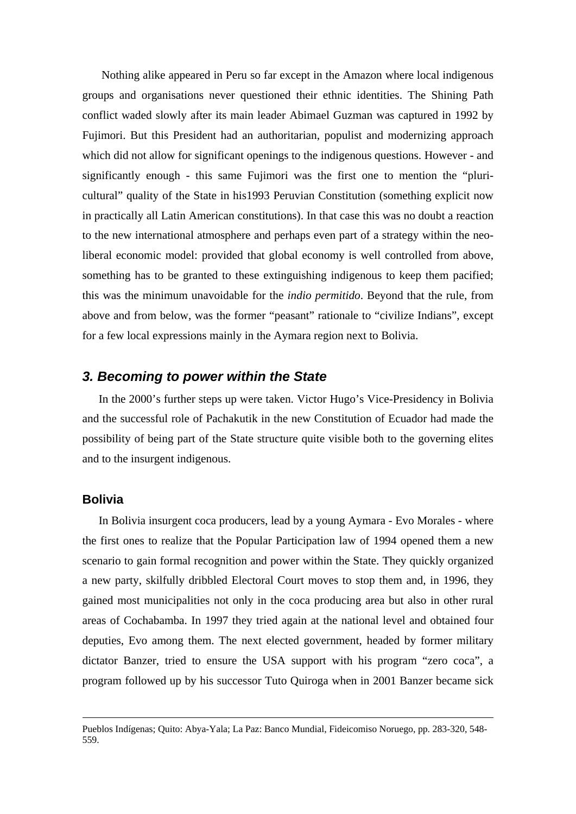Nothing alike appeared in Peru so far except in the Amazon where local indigenous groups and organisations never questioned their ethnic identities. The Shining Path conflict waded slowly after its main leader Abimael Guzman was captured in 1992 by Fujimori. But this President had an authoritarian, populist and modernizing approach which did not allow for significant openings to the indigenous questions. However - and significantly enough - this same Fujimori was the first one to mention the "pluricultural" quality of the State in his1993 Peruvian Constitution (something explicit now in practically all Latin American constitutions). In that case this was no doubt a reaction to the new international atmosphere and perhaps even part of a strategy within the neoliberal economic model: provided that global economy is well controlled from above, something has to be granted to these extinguishing indigenous to keep them pacified; this was the minimum unavoidable for the *indio permitido*. Beyond that the rule, from above and from below, was the former "peasant" rationale to "civilize Indians", except for a few local expressions mainly in the Aymara region next to Bolivia.

# *3. Becoming to power within the State*

In the 2000's further steps up were taken. Victor Hugo's Vice-Presidency in Bolivia and the successful role of Pachakutik in the new Constitution of Ecuador had made the possibility of being part of the State structure quite visible both to the governing elites and to the insurgent indigenous.

## **Bolivia**

In Bolivia insurgent coca producers, lead by a young Aymara - Evo Morales - where the first ones to realize that the Popular Participation law of 1994 opened them a new scenario to gain formal recognition and power within the State. They quickly organized a new party, skilfully dribbled Electoral Court moves to stop them and, in 1996, they gained most municipalities not only in the coca producing area but also in other rural areas of Cochabamba. In 1997 they tried again at the national level and obtained four deputies, Evo among them. The next elected government, headed by former military dictator Banzer, tried to ensure the USA support with his program "zero coca", a program followed up by his successor Tuto Quiroga when in 2001 Banzer became sick

Pueblos Indígenas; Quito: Abya-Yala; La Paz: Banco Mundial, Fideicomiso Noruego, pp. 283-320, 548- 559.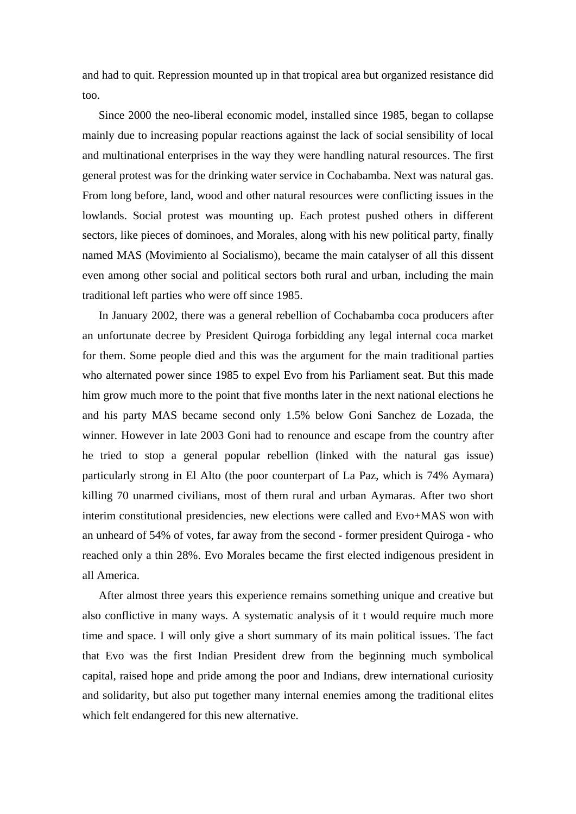and had to quit. Repression mounted up in that tropical area but organized resistance did too.

Since 2000 the neo-liberal economic model, installed since 1985, began to collapse mainly due to increasing popular reactions against the lack of social sensibility of local and multinational enterprises in the way they were handling natural resources. The first general protest was for the drinking water service in Cochabamba. Next was natural gas. From long before, land, wood and other natural resources were conflicting issues in the lowlands. Social protest was mounting up. Each protest pushed others in different sectors, like pieces of dominoes, and Morales, along with his new political party, finally named MAS (Movimiento al Socialismo), became the main catalyser of all this dissent even among other social and political sectors both rural and urban, including the main traditional left parties who were off since 1985.

In January 2002, there was a general rebellion of Cochabamba coca producers after an unfortunate decree by President Quiroga forbidding any legal internal coca market for them. Some people died and this was the argument for the main traditional parties who alternated power since 1985 to expel Evo from his Parliament seat. But this made him grow much more to the point that five months later in the next national elections he and his party MAS became second only 1.5% below Goni Sanchez de Lozada, the winner. However in late 2003 Goni had to renounce and escape from the country after he tried to stop a general popular rebellion (linked with the natural gas issue) particularly strong in El Alto (the poor counterpart of La Paz, which is 74% Aymara) killing 70 unarmed civilians, most of them rural and urban Aymaras. After two short interim constitutional presidencies, new elections were called and Evo+MAS won with an unheard of 54% of votes, far away from the second - former president Quiroga - who reached only a thin 28%. Evo Morales became the first elected indigenous president in all America.

After almost three years this experience remains something unique and creative but also conflictive in many ways. A systematic analysis of it t would require much more time and space. I will only give a short summary of its main political issues. The fact that Evo was the first Indian President drew from the beginning much symbolical capital, raised hope and pride among the poor and Indians, drew international curiosity and solidarity, but also put together many internal enemies among the traditional elites which felt endangered for this new alternative.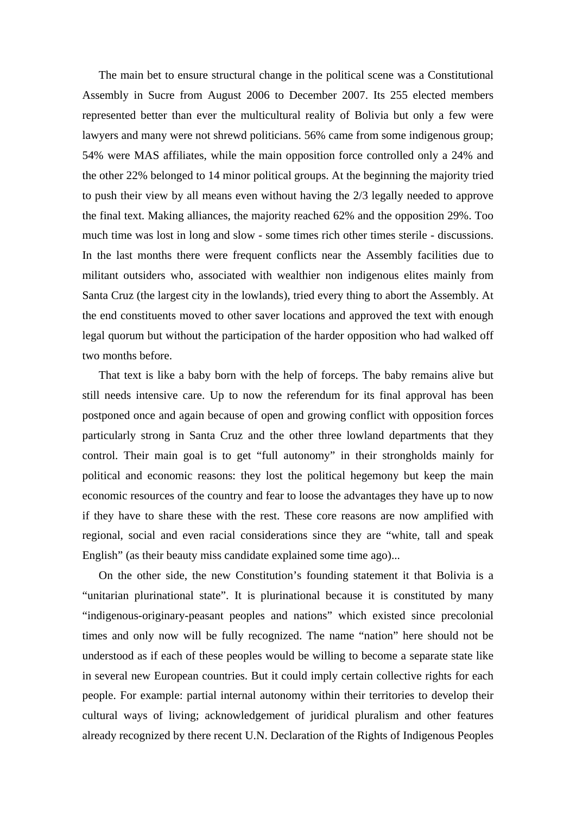The main bet to ensure structural change in the political scene was a Constitutional Assembly in Sucre from August 2006 to December 2007. Its 255 elected members represented better than ever the multicultural reality of Bolivia but only a few were lawyers and many were not shrewd politicians. 56% came from some indigenous group; 54% were MAS affiliates, while the main opposition force controlled only a 24% and the other 22% belonged to 14 minor political groups. At the beginning the majority tried to push their view by all means even without having the 2/3 legally needed to approve the final text. Making alliances, the majority reached 62% and the opposition 29%. Too much time was lost in long and slow - some times rich other times sterile - discussions. In the last months there were frequent conflicts near the Assembly facilities due to militant outsiders who, associated with wealthier non indigenous elites mainly from Santa Cruz (the largest city in the lowlands), tried every thing to abort the Assembly. At the end constituents moved to other saver locations and approved the text with enough legal quorum but without the participation of the harder opposition who had walked off two months before.

That text is like a baby born with the help of forceps. The baby remains alive but still needs intensive care. Up to now the referendum for its final approval has been postponed once and again because of open and growing conflict with opposition forces particularly strong in Santa Cruz and the other three lowland departments that they control. Their main goal is to get "full autonomy" in their strongholds mainly for political and economic reasons: they lost the political hegemony but keep the main economic resources of the country and fear to loose the advantages they have up to now if they have to share these with the rest. These core reasons are now amplified with regional, social and even racial considerations since they are "white, tall and speak English" (as their beauty miss candidate explained some time ago)...

On the other side, the new Constitution's founding statement it that Bolivia is a "unitarian plurinational state". It is plurinational because it is constituted by many "indigenous-originary-peasant peoples and nations" which existed since precolonial times and only now will be fully recognized. The name "nation" here should not be understood as if each of these peoples would be willing to become a separate state like in several new European countries. But it could imply certain collective rights for each people. For example: partial internal autonomy within their territories to develop their cultural ways of living; acknowledgement of juridical pluralism and other features already recognized by there recent U.N. Declaration of the Rights of Indigenous Peoples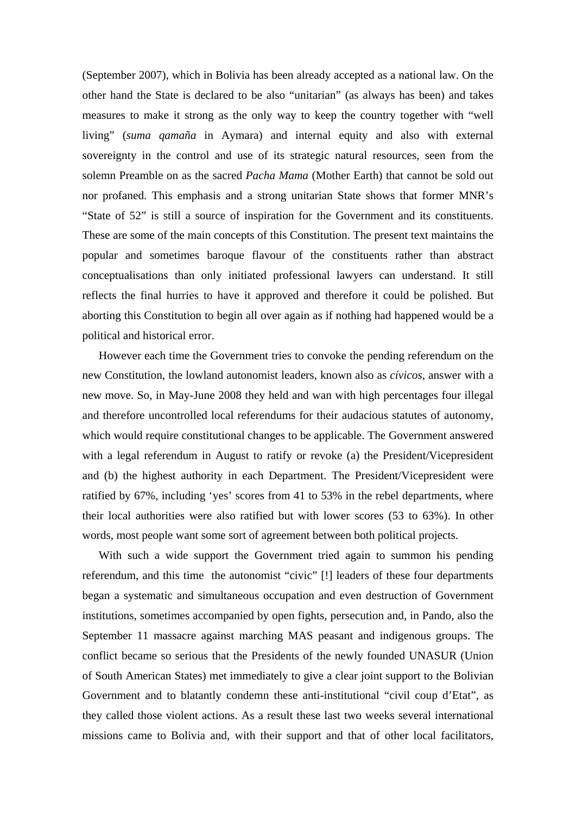(September 2007), which in Bolivia has been already accepted as a national law. On the other hand the State is declared to be also "unitarian" (as always has been) and takes measures to make it strong as the only way to keep the country together with "well living" (*suma qamaña* in Aymara) and internal equity and also with external sovereignty in the control and use of its strategic natural resources, seen from the solemn Preamble on as the sacred *Pacha Mama* (Mother Earth) that cannot be sold out nor profaned. This emphasis and a strong unitarian State shows that former MNR's "State of 52" is still a source of inspiration for the Government and its constituents. These are some of the main concepts of this Constitution. The present text maintains the popular and sometimes baroque flavour of the constituents rather than abstract conceptualisations than only initiated professional lawyers can understand. It still reflects the final hurries to have it approved and therefore it could be polished. But aborting this Constitution to begin all over again as if nothing had happened would be a political and historical error.

However each time the Government tries to convoke the pending referendum on the new Constitution, the lowland autonomist leaders, known also as *cívicos*, answer with a new move. So, in May-June 2008 they held and wan with high percentages four illegal and therefore uncontrolled local referendums for their audacious statutes of autonomy, which would require constitutional changes to be applicable. The Government answered with a legal referendum in August to ratify or revoke (a) the President/Vicepresident and (b) the highest authority in each Department. The President/Vicepresident were ratified by 67%, including 'yes' scores from 41 to 53% in the rebel departments, where their local authorities were also ratified but with lower scores (53 to 63%). In other words, most people want some sort of agreement between both political projects.

With such a wide support the Government tried again to summon his pending referendum, and this time the autonomist "civic" [!] leaders of these four departments began a systematic and simultaneous occupation and even destruction of Government institutions, sometimes accompanied by open fights, persecution and, in Pando, also the September 11 massacre against marching MAS peasant and indigenous groups. The conflict became so serious that the Presidents of the newly founded UNASUR (Union of South American States) met immediately to give a clear joint support to the Bolivian Government and to blatantly condemn these anti-institutional "civil coup d'Etat", as they called those violent actions. As a result these last two weeks several international missions came to Bolivia and, with their support and that of other local facilitators,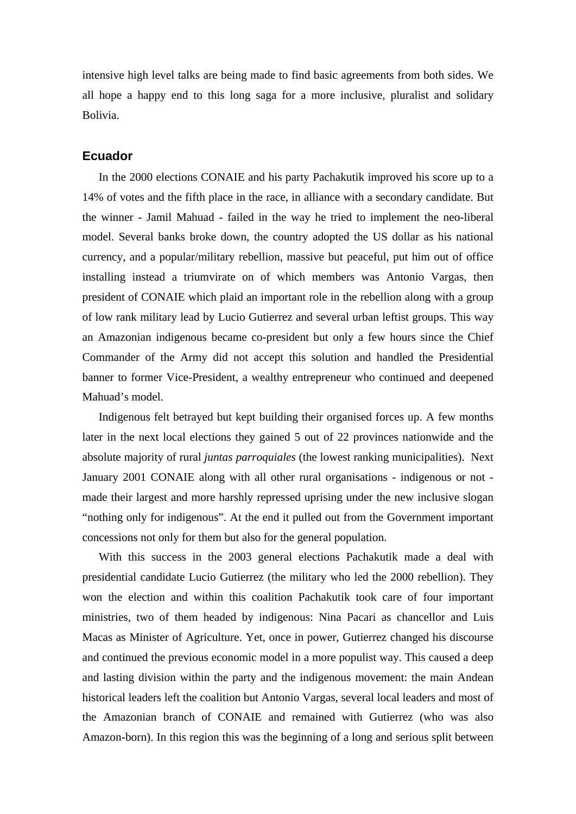intensive high level talks are being made to find basic agreements from both sides. We all hope a happy end to this long saga for a more inclusive, pluralist and solidary Bolivia.

# **Ecuador**

In the 2000 elections CONAIE and his party Pachakutik improved his score up to a 14% of votes and the fifth place in the race, in alliance with a secondary candidate. But the winner - Jamil Mahuad - failed in the way he tried to implement the neo-liberal model. Several banks broke down, the country adopted the US dollar as his national currency, and a popular/military rebellion, massive but peaceful, put him out of office installing instead a triumvirate on of which members was Antonio Vargas, then president of CONAIE which plaid an important role in the rebellion along with a group of low rank military lead by Lucio Gutierrez and several urban leftist groups. This way an Amazonian indigenous became co-president but only a few hours since the Chief Commander of the Army did not accept this solution and handled the Presidential banner to former Vice-President, a wealthy entrepreneur who continued and deepened Mahuad's model.

Indigenous felt betrayed but kept building their organised forces up. A few months later in the next local elections they gained 5 out of 22 provinces nationwide and the absolute majority of rural *juntas parroquiales* (the lowest ranking municipalities). Next January 2001 CONAIE along with all other rural organisations - indigenous or not made their largest and more harshly repressed uprising under the new inclusive slogan "nothing only for indigenous". At the end it pulled out from the Government important concessions not only for them but also for the general population.

With this success in the 2003 general elections Pachakutik made a deal with presidential candidate Lucio Gutierrez (the military who led the 2000 rebellion). They won the election and within this coalition Pachakutik took care of four important ministries, two of them headed by indigenous: Nina Pacari as chancellor and Luis Macas as Minister of Agriculture. Yet, once in power, Gutierrez changed his discourse and continued the previous economic model in a more populist way. This caused a deep and lasting division within the party and the indigenous movement: the main Andean historical leaders left the coalition but Antonio Vargas, several local leaders and most of the Amazonian branch of CONAIE and remained with Gutierrez (who was also Amazon-born). In this region this was the beginning of a long and serious split between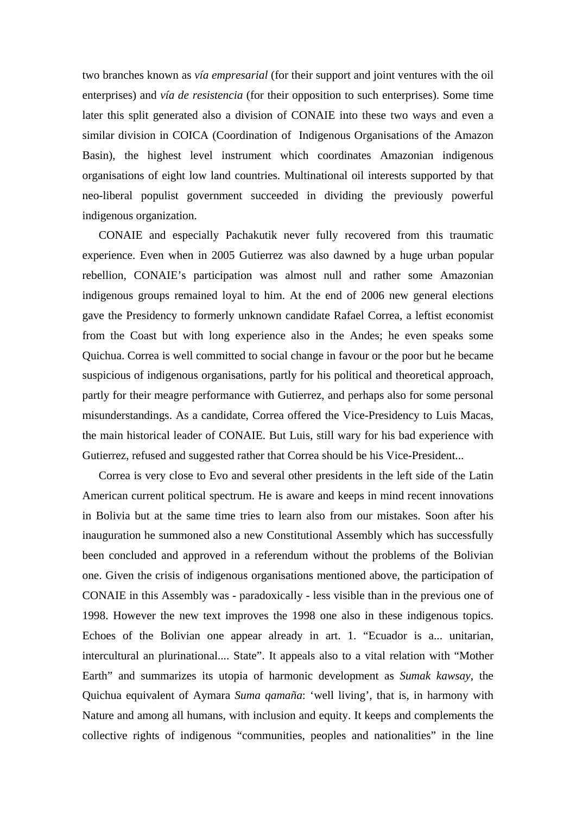two branches known as *vía empresarial* (for their support and joint ventures with the oil enterprises) and *vía de resistencia* (for their opposition to such enterprises). Some time later this split generated also a division of CONAIE into these two ways and even a similar division in COICA (Coordination of Indigenous Organisations of the Amazon Basin), the highest level instrument which coordinates Amazonian indigenous organisations of eight low land countries. Multinational oil interests supported by that neo-liberal populist government succeeded in dividing the previously powerful indigenous organization.

CONAIE and especially Pachakutik never fully recovered from this traumatic experience. Even when in 2005 Gutierrez was also dawned by a huge urban popular rebellion, CONAIE's participation was almost null and rather some Amazonian indigenous groups remained loyal to him. At the end of 2006 new general elections gave the Presidency to formerly unknown candidate Rafael Correa, a leftist economist from the Coast but with long experience also in the Andes; he even speaks some Quichua. Correa is well committed to social change in favour or the poor but he became suspicious of indigenous organisations, partly for his political and theoretical approach, partly for their meagre performance with Gutierrez, and perhaps also for some personal misunderstandings. As a candidate, Correa offered the Vice-Presidency to Luis Macas, the main historical leader of CONAIE. But Luis, still wary for his bad experience with Gutierrez, refused and suggested rather that Correa should be his Vice-President...

Correa is very close to Evo and several other presidents in the left side of the Latin American current political spectrum. He is aware and keeps in mind recent innovations in Bolivia but at the same time tries to learn also from our mistakes. Soon after his inauguration he summoned also a new Constitutional Assembly which has successfully been concluded and approved in a referendum without the problems of the Bolivian one. Given the crisis of indigenous organisations mentioned above, the participation of CONAIE in this Assembly was - paradoxically - less visible than in the previous one of 1998. However the new text improves the 1998 one also in these indigenous topics. Echoes of the Bolivian one appear already in art. 1. "Ecuador is a... unitarian, intercultural an plurinational.... State". It appeals also to a vital relation with "Mother Earth" and summarizes its utopia of harmonic development as *Sumak kawsay*, the Quichua equivalent of Aymara *Suma qamaña*: 'well living', that is, in harmony with Nature and among all humans, with inclusion and equity. It keeps and complements the collective rights of indigenous "communities, peoples and nationalities" in the line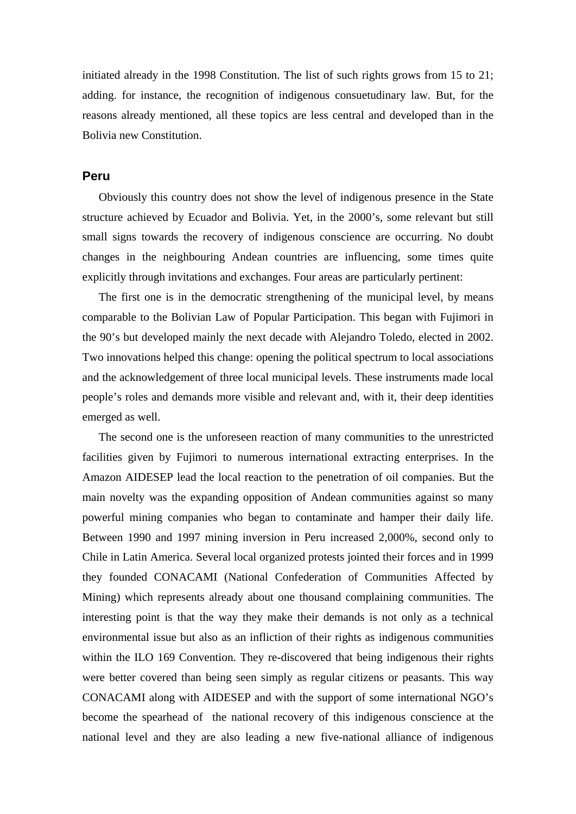initiated already in the 1998 Constitution. The list of such rights grows from 15 to 21; adding. for instance, the recognition of indigenous consuetudinary law. But, for the reasons already mentioned, all these topics are less central and developed than in the Bolivia new Constitution.

## **Peru**

Obviously this country does not show the level of indigenous presence in the State structure achieved by Ecuador and Bolivia. Yet, in the 2000's, some relevant but still small signs towards the recovery of indigenous conscience are occurring. No doubt changes in the neighbouring Andean countries are influencing, some times quite explicitly through invitations and exchanges. Four areas are particularly pertinent:

The first one is in the democratic strengthening of the municipal level, by means comparable to the Bolivian Law of Popular Participation. This began with Fujimori in the 90's but developed mainly the next decade with Alejandro Toledo, elected in 2002. Two innovations helped this change: opening the political spectrum to local associations and the acknowledgement of three local municipal levels. These instruments made local people's roles and demands more visible and relevant and, with it, their deep identities emerged as well.

The second one is the unforeseen reaction of many communities to the unrestricted facilities given by Fujimori to numerous international extracting enterprises. In the Amazon AIDESEP lead the local reaction to the penetration of oil companies. But the main novelty was the expanding opposition of Andean communities against so many powerful mining companies who began to contaminate and hamper their daily life. Between 1990 and 1997 mining inversion in Peru increased 2,000%, second only to Chile in Latin America. Several local organized protests jointed their forces and in 1999 they founded CONACAMI (National Confederation of Communities Affected by Mining) which represents already about one thousand complaining communities. The interesting point is that the way they make their demands is not only as a technical environmental issue but also as an infliction of their rights as indigenous communities within the ILO 169 Convention. They re-discovered that being indigenous their rights were better covered than being seen simply as regular citizens or peasants. This way CONACAMI along with AIDESEP and with the support of some international NGO's become the spearhead of the national recovery of this indigenous conscience at the national level and they are also leading a new five-national alliance of indigenous